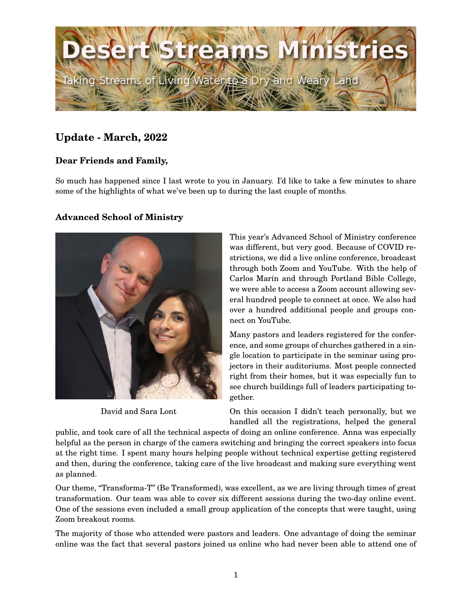

# **Update - March, 2022**

## **Dear Friends and Family,**

So much has happened since I last wrote to you in January. I'd like to take a few minutes to share some of the highlights of what we've been up to during the last couple of months.

### **Advanced School of Ministry**



David and Sara Lont

This year's Advanced School of Ministry conference was different, but very good. Because of COVID restrictions, we did a live online conference, broadcast through both Zoom and YouTube. With the help of Carlos Marín and through Portland Bible College, we were able to access a Zoom account allowing several hundred people to connect at once. We also had over a hundred additional people and groups connect on YouTube.

Many pastors and leaders registered for the conference, and some groups of churches gathered in a single location to participate in the seminar using projectors in their auditoriums. Most people connected right from their homes, but it was especially fun to see church buildings full of leaders participating together.

On this occasion I didn't teach personally, but we handled all the registrations, helped the general

public, and took care of all the technical aspects of doing an online conference. Anna was especially helpful as the person in charge of the camera switching and bringing the correct speakers into focus at the right time. I spent many hours helping people without technical expertise getting registered and then, during the conference, taking care of the live broadcast and making sure everything went as planned.

Our theme, "Transforma-T" (Be Transformed), was excellent, as we are living through times of great transformation. Our team was able to cover six different sessions during the two-day online event. One of the sessions even included a small group application of the concepts that were taught, using Zoom breakout rooms.

The majority of those who attended were pastors and leaders. One advantage of doing the seminar online was the fact that several pastors joined us online who had never been able to attend one of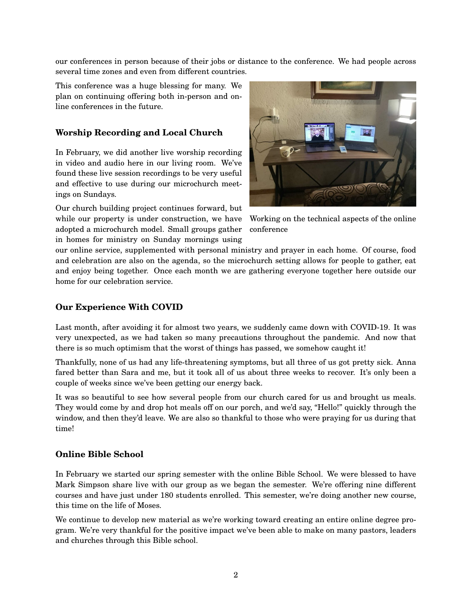our conferences in person because of their jobs or distance to the conference. We had people across several time zones and even from different countries.

This conference was a huge blessing for many. We plan on continuing offering both in-person and online conferences in the future.

#### **Worship Recording and Local Church**

In February, we did another live worship recording in video and audio here in our living room. We've found these live session recordings to be very useful and effective to use during our microchurch meetings on Sundays.

Our church building project continues forward, but while our property is under construction, we have adopted a microchurch model. Small groups gather in homes for ministry on Sunday mornings using



Working on the technical aspects of the online conference

our online service, supplemented with personal ministry and prayer in each home. Of course, food and celebration are also on the agenda, so the microchurch setting allows for people to gather, eat and enjoy being together. Once each month we are gathering everyone together here outside our home for our celebration service.

#### **Our Experience With COVID**

Last month, after avoiding it for almost two years, we suddenly came down with COVID-19. It was very unexpected, as we had taken so many precautions throughout the pandemic. And now that there is so much optimism that the worst of things has passed, we somehow caught it!

Thankfully, none of us had any life-threatening symptoms, but all three of us got pretty sick. Anna fared better than Sara and me, but it took all of us about three weeks to recover. It's only been a couple of weeks since we've been getting our energy back.

It was so beautiful to see how several people from our church cared for us and brought us meals. They would come by and drop hot meals off on our porch, and we'd say, "Hello!" quickly through the window, and then they'd leave. We are also so thankful to those who were praying for us during that time!

#### **Online Bible School**

In February we started our spring semester with the online Bible School. We were blessed to have Mark Simpson share live with our group as we began the semester. We're offering nine different courses and have just under 180 students enrolled. This semester, we're doing another new course, this time on the life of Moses.

We continue to develop new material as we're working toward creating an entire online degree program. We're very thankful for the positive impact we've been able to make on many pastors, leaders and churches through this Bible school.